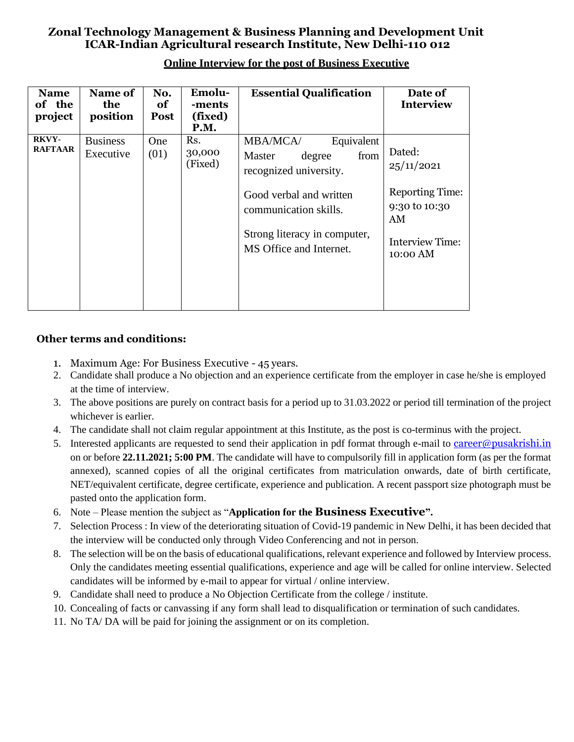# **Zonal Technology Management & Business Planning and Development Unit ICAR-Indian Agricultural research Institute, New Delhi-110 012**

| <b>Name</b><br>of the<br>project | Name of<br>the<br>position   | No.<br>of<br><b>Post</b> | Emolu-<br>-ments<br>(fixed)<br><b>P.M.</b> | <b>Essential Qualification</b>                                                                                                                                                                     | Date of<br><b>Interview</b>                                                                                 |
|----------------------------------|------------------------------|--------------------------|--------------------------------------------|----------------------------------------------------------------------------------------------------------------------------------------------------------------------------------------------------|-------------------------------------------------------------------------------------------------------------|
| <b>RKVY-</b><br><b>RAFTAAR</b>   | <b>Business</b><br>Executive | <b>One</b><br>(01)       | Rs.<br>30,000<br>(Fixed)                   | Equivalent<br><b>MBA/MCA/</b><br>Master<br>degree<br>from<br>recognized university.<br>Good verbal and written<br>communication skills.<br>Strong literacy in computer,<br>MS Office and Internet. | Dated:<br>25/11/2021<br><b>Reporting Time:</b><br>9:30 to 10:30<br>AM<br><b>Interview Time:</b><br>10:00 AM |

## **Online Interview for the post of Business Executive**

### **Other terms and conditions:**

- 1. Maximum Age: For Business Executive 45 years.
- 2. Candidate shall produce a No objection and an experience certificate from the employer in case he/she is employed at the time of interview.
- 3. The above positions are purely on contract basis for a period up to 31.03.2022 or period till termination of the project whichever is earlier.
- 4. The candidate shall not claim regular appointment at this Institute, as the post is co-terminus with the project.
- 5. Interested applicants are requested to send their application in pdf format through e-mail to [career@pusakrishi.in](mailto:career@pusakrishi.in) on or before **22.11.2021; 5:00 PM**. The candidate will have to compulsorily fill in application form (as per the format annexed), scanned copies of all the original certificates from matriculation onwards, date of birth certificate, NET/equivalent certificate, degree certificate, experience and publication. A recent passport size photograph must be pasted onto the application form.
- 6. Note Please mention the subject as "**Application for the Business Executive".**
- 7. Selection Process : In view of the deteriorating situation of Covid-19 pandemic in New Delhi, it has been decided that the interview will be conducted only through Video Conferencing and not in person.
- 8. The selection will be on the basis of educational qualifications, relevant experience and followed by Interview process. Only the candidates meeting essential qualifications, experience and age will be called for online interview. Selected candidates will be informed by e-mail to appear for virtual / online interview.
- 9. Candidate shall need to produce a No Objection Certificate from the college / institute.
- 10. Concealing of facts or canvassing if any form shall lead to disqualification or termination of such candidates.
- 11. No TA/ DA will be paid for joining the assignment or on its completion.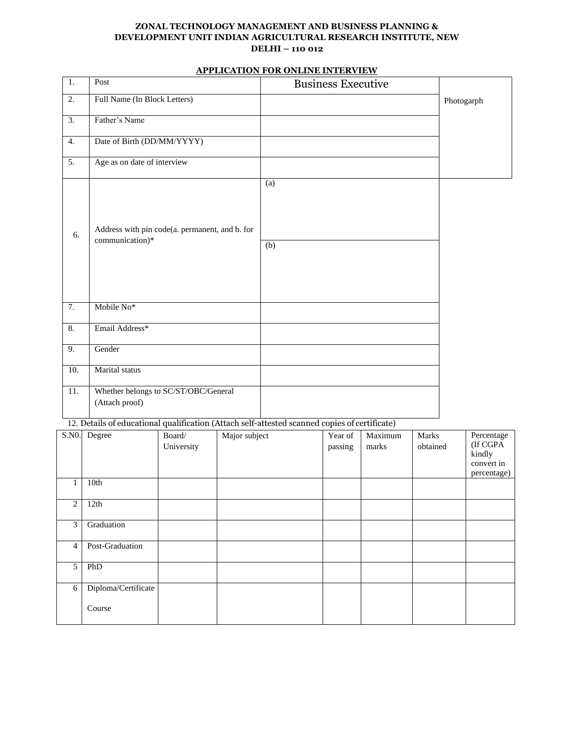#### **ZONAL TECHNOLOGY MANAGEMENT AND BUSINESS PLANNING & DEVELOPMENT UNIT INDIAN AGRICULTURAL RESEARCH INSTITUTE, NEW DELHI – 110 012**

#### **APPLICATION FOR ONLINE INTERVIEW**

| 1.               | Post                                                                                          | <b>Business Executive</b> |            |
|------------------|-----------------------------------------------------------------------------------------------|---------------------------|------------|
| 2.               | Full Name (In Block Letters)                                                                  |                           | Photogarph |
| $\overline{3}$ . | Father's Name                                                                                 |                           |            |
| 4.               | Date of Birth (DD/MM/YYYY)                                                                    |                           |            |
| $\overline{5}$ . | Age as on date of interview                                                                   |                           |            |
| 6.               | Address with pin code(a. permanent, and b. for<br>communication)*                             | (a)<br>(b)                |            |
| $\overline{7}$ . | Mobile No*                                                                                    |                           |            |
| 8.               | Email Address*                                                                                |                           |            |
| 9.               | Gender                                                                                        |                           |            |
| 10.              | Marital status                                                                                |                           |            |
| 11.              | Whether belongs to SC/ST/OBC/General<br>(Attach proof)                                        |                           |            |
|                  | 12. Details of educational qualification (Attach self-attested scanned copies of certificate) |                           |            |

| S.NO.          | Degree              | Board/<br>University | Major subject | Year of<br>passing | Maximum<br>marks | Marks<br>obtained | Percentage<br>(If CGPA<br>kindly<br>convert in<br>percentage) |
|----------------|---------------------|----------------------|---------------|--------------------|------------------|-------------------|---------------------------------------------------------------|
|                | 10th                |                      |               |                    |                  |                   |                                                               |
| 2              | 12th                |                      |               |                    |                  |                   |                                                               |
| 3              | Graduation          |                      |               |                    |                  |                   |                                                               |
| $\overline{4}$ | Post-Graduation     |                      |               |                    |                  |                   |                                                               |
| 5              | PhD                 |                      |               |                    |                  |                   |                                                               |
| 6              | Diploma/Certificate |                      |               |                    |                  |                   |                                                               |
|                | Course              |                      |               |                    |                  |                   |                                                               |